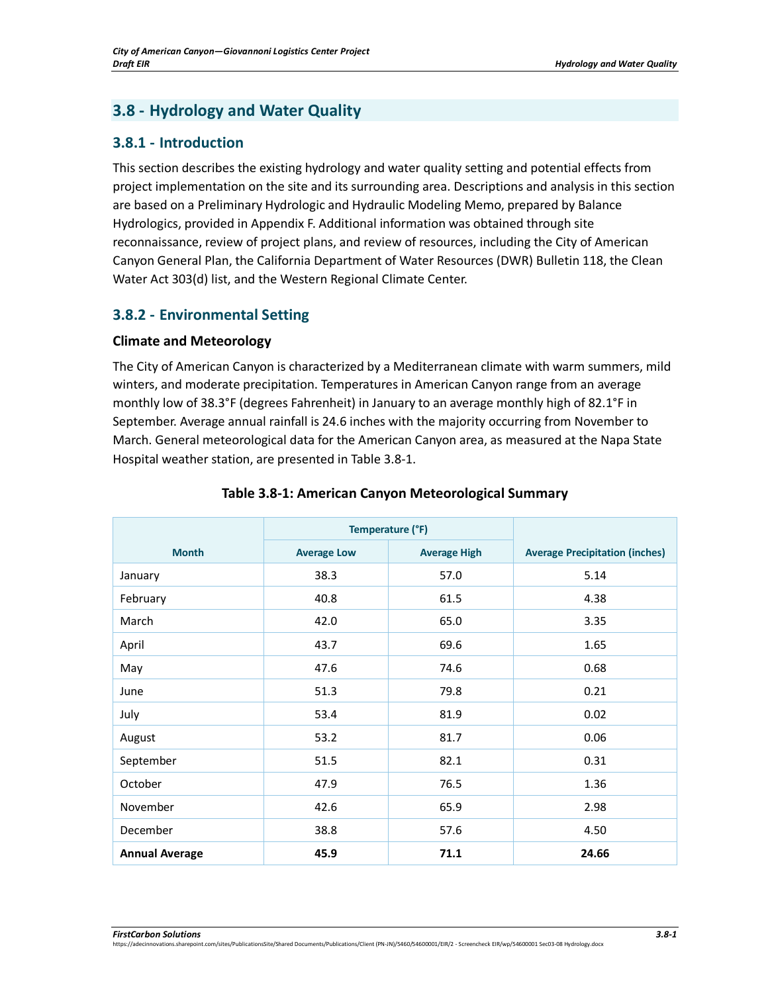# **3.8 - Hydrology and Water Quality**

## **3.8.1 - Introduction**

This section describes the existing hydrology and water quality setting and potential effects from project implementation on the site and its surrounding area. Descriptions and analysis in this section are based on a Preliminary Hydrologic and Hydraulic Modeling Memo, prepared by Balance Hydrologics, provided in Appendix F. Additional information was obtained through site reconnaissance, review of project plans, and review of resources, including the City of American Canyon General Plan, the California Department of Water Resources (DWR) Bulletin 118, the Clean Water Act 303(d) list, and the Western Regional Climate Center.

# **3.8.2 - Environmental Setting**

## **Climate and Meteorology**

The City of American Canyon is characterized by a Mediterranean climate with warm summers, mild winters, and moderate precipitation. Temperatures in American Canyon range from an average monthly low of 38.3°F (degrees Fahrenheit) in January to an average monthly high of 82.1°F in September. Average annual rainfall is 24.6 inches with the majority occurring from November to March. General meteorological data for the American Canyon area, as measured at the Napa State Hospital weather station, are presented in Table 3.8-1.

|                       | Temperature (°F)   |                     |                                       |
|-----------------------|--------------------|---------------------|---------------------------------------|
| <b>Month</b>          | <b>Average Low</b> | <b>Average High</b> | <b>Average Precipitation (inches)</b> |
| January               | 38.3               | 57.0                | 5.14                                  |
| February              | 40.8               | 61.5                | 4.38                                  |
| March                 | 42.0               | 65.0                | 3.35                                  |
| April                 | 43.7               | 69.6                | 1.65                                  |
| May                   | 47.6               | 74.6                | 0.68                                  |
| June                  | 51.3               | 79.8                | 0.21                                  |
| July                  | 53.4               | 81.9                | 0.02                                  |
| August                | 53.2               | 81.7                | 0.06                                  |
| September             | 51.5               | 82.1                | 0.31                                  |
| October               | 47.9               | 76.5                | 1.36                                  |
| November              | 42.6               | 65.9                | 2.98                                  |
| December              | 38.8               | 57.6                | 4.50                                  |
| <b>Annual Average</b> | 45.9               | 71.1                | 24.66                                 |

### **Table 3.8-1: American Canyon Meteorological Summary**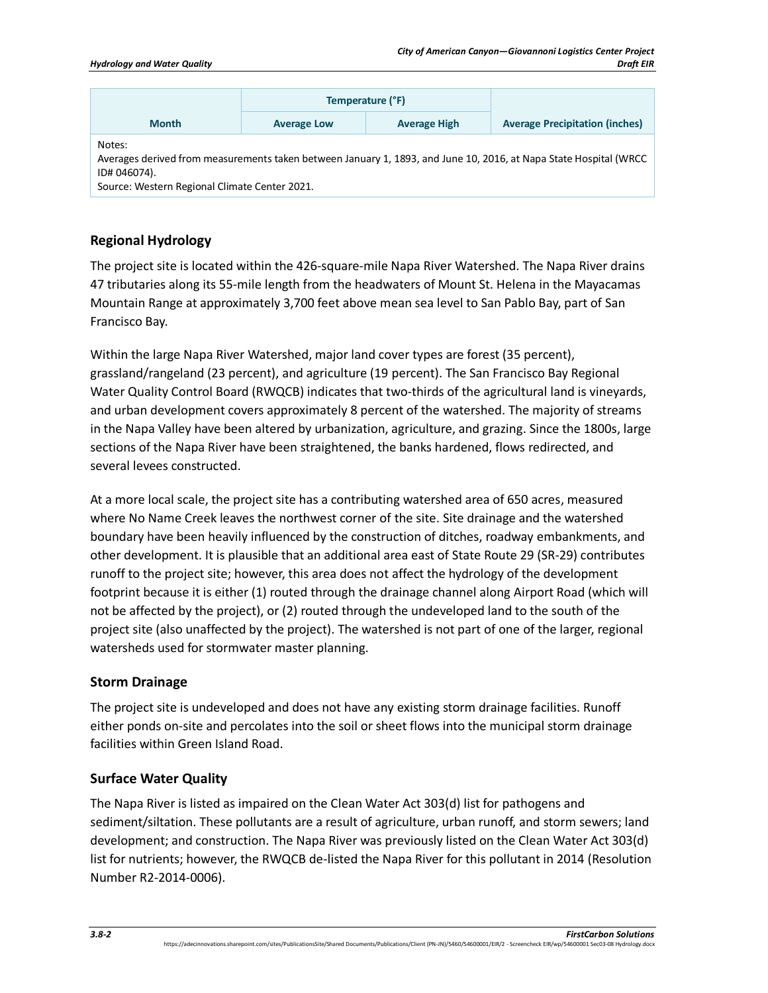|                                                                                                                                                                                              | Temperature (°F)   |                     |                                       |  |
|----------------------------------------------------------------------------------------------------------------------------------------------------------------------------------------------|--------------------|---------------------|---------------------------------------|--|
| <b>Month</b>                                                                                                                                                                                 | <b>Average Low</b> | <b>Average High</b> | <b>Average Precipitation (inches)</b> |  |
| Notes:<br>Averages derived from measurements taken between January 1, 1893, and June 10, 2016, at Napa State Hospital (WRCC<br>ID# 046074).<br>Source: Western Regional Climate Center 2021. |                    |                     |                                       |  |

## **Regional Hydrology**

The project site is located within the 426-square-mile Napa River Watershed. The Napa River drains 47 tributaries along its 55-mile length from the headwaters of Mount St. Helena in the Mayacamas Mountain Range at approximately 3,700 feet above mean sea level to San Pablo Bay, part of San Francisco Bay.

Within the large Napa River Watershed, major land cover types are forest (35 percent), grassland/rangeland (23 percent), and agriculture (19 percent). The San Francisco Bay Regional Water Quality Control Board (RWQCB) indicates that two-thirds of the agricultural land is vineyards, and urban development covers approximately 8 percent of the watershed. The majority of streams in the Napa Valley have been altered by urbanization, agriculture, and grazing. Since the 1800s, large sections of the Napa River have been straightened, the banks hardened, flows redirected, and several levees constructed.

At a more local scale, the project site has a contributing watershed area of 650 acres, measured where No Name Creek leaves the northwest corner of the site. Site drainage and the watershed boundary have been heavily influenced by the construction of ditches, roadway embankments, and other development. It is plausible that an additional area east of State Route 29 (SR-29) contributes runoff to the project site; however, this area does not affect the hydrology of the development footprint because it is either (1) routed through the drainage channel along Airport Road (which will not be affected by the project), or (2) routed through the undeveloped land to the south of the project site (also unaffected by the project). The watershed is not part of one of the larger, regional watersheds used for stormwater master planning.

### **Storm Drainage**

The project site is undeveloped and does not have any existing storm drainage facilities. Runoff either ponds on-site and percolates into the soil or sheet flows into the municipal storm drainage facilities within Green Island Road.

### **Surface Water Quality**

The Napa River is listed as impaired on the Clean Water Act 303(d) list for pathogens and sediment/siltation. These pollutants are a result of agriculture, urban runoff, and storm sewers; land development; and construction. The Napa River was previously listed on the Clean Water Act 303(d) list for nutrients; however, the RWQCB de-listed the Napa River for this pollutant in 2014 (Resolution Number R2-2014-0006).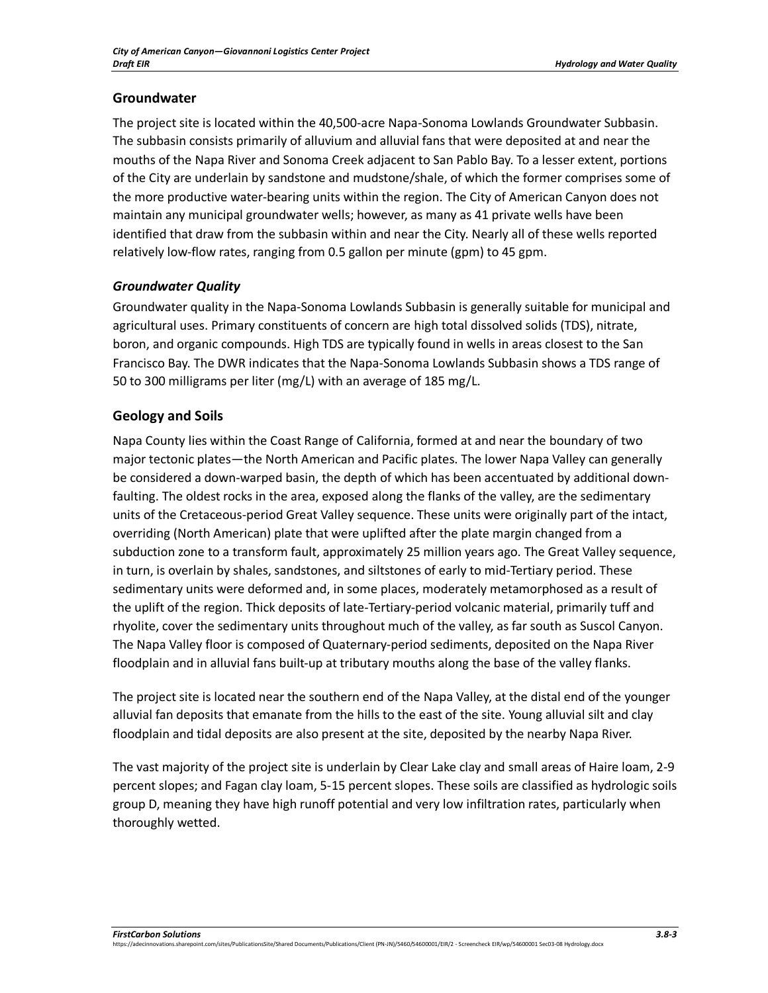## **Groundwater**

The project site is located within the 40,500-acre Napa-Sonoma Lowlands Groundwater Subbasin. The subbasin consists primarily of alluvium and alluvial fans that were deposited at and near the mouths of the Napa River and Sonoma Creek adjacent to San Pablo Bay. To a lesser extent, portions of the City are underlain by sandstone and mudstone/shale, of which the former comprises some of the more productive water-bearing units within the region. The City of American Canyon does not maintain any municipal groundwater wells; however, as many as 41 private wells have been identified that draw from the subbasin within and near the City. Nearly all of these wells reported relatively low-flow rates, ranging from 0.5 gallon per minute (gpm) to 45 gpm.

## *Groundwater Quality*

Groundwater quality in the Napa-Sonoma Lowlands Subbasin is generally suitable for municipal and agricultural uses. Primary constituents of concern are high total dissolved solids (TDS), nitrate, boron, and organic compounds. High TDS are typically found in wells in areas closest to the San Francisco Bay. The DWR indicates that the Napa-Sonoma Lowlands Subbasin shows a TDS range of 50 to 300 milligrams per liter (mg/L) with an average of 185 mg/L.

## **Geology and Soils**

Napa County lies within the Coast Range of California, formed at and near the boundary of two major tectonic plates—the North American and Pacific plates. The lower Napa Valley can generally be considered a down-warped basin, the depth of which has been accentuated by additional downfaulting. The oldest rocks in the area, exposed along the flanks of the valley, are the sedimentary units of the Cretaceous-period Great Valley sequence. These units were originally part of the intact, overriding (North American) plate that were uplifted after the plate margin changed from a subduction zone to a transform fault, approximately 25 million years ago. The Great Valley sequence, in turn, is overlain by shales, sandstones, and siltstones of early to mid-Tertiary period. These sedimentary units were deformed and, in some places, moderately metamorphosed as a result of the uplift of the region. Thick deposits of late-Tertiary-period volcanic material, primarily tuff and rhyolite, cover the sedimentary units throughout much of the valley, as far south as Suscol Canyon. The Napa Valley floor is composed of Quaternary-period sediments, deposited on the Napa River floodplain and in alluvial fans built-up at tributary mouths along the base of the valley flanks.

The project site is located near the southern end of the Napa Valley, at the distal end of the younger alluvial fan deposits that emanate from the hills to the east of the site. Young alluvial silt and clay floodplain and tidal deposits are also present at the site, deposited by the nearby Napa River.

The vast majority of the project site is underlain by Clear Lake clay and small areas of Haire loam, 2-9 percent slopes; and Fagan clay loam, 5-15 percent slopes. These soils are classified as hydrologic soils group D, meaning they have high runoff potential and very low infiltration rates, particularly when thoroughly wetted.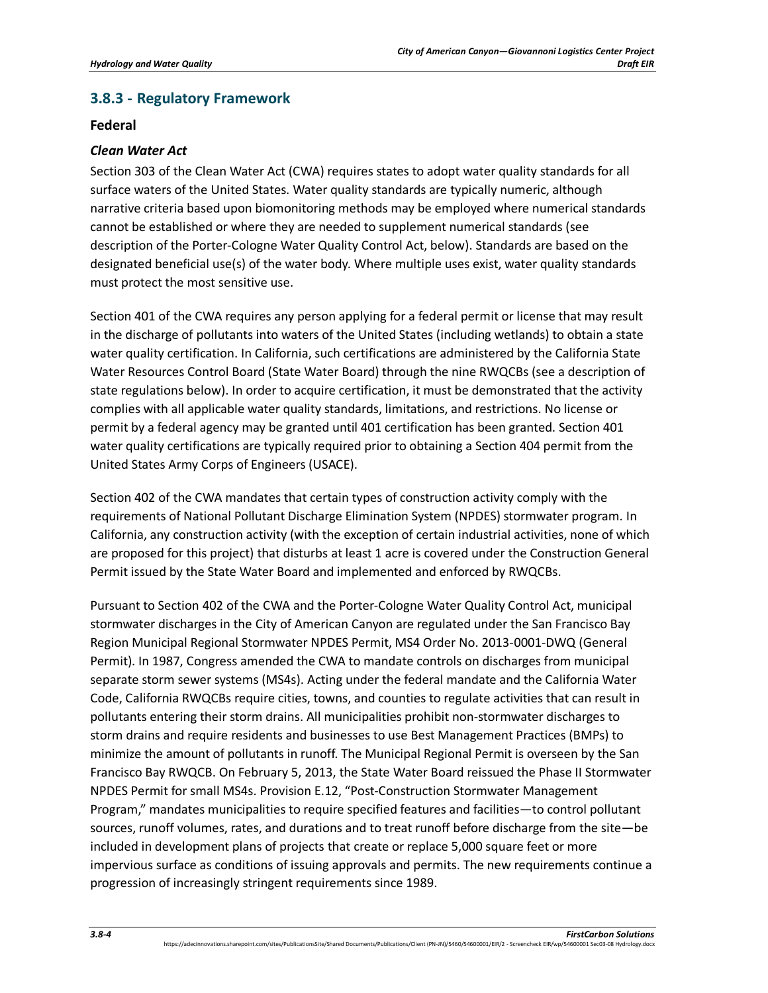# **3.8.3 - Regulatory Framework**

### **Federal**

### *Clean Water Act*

Section 303 of the Clean Water Act (CWA) requires states to adopt water quality standards for all surface waters of the United States. Water quality standards are typically numeric, although narrative criteria based upon biomonitoring methods may be employed where numerical standards cannot be established or where they are needed to supplement numerical standards (see description of the Porter-Cologne Water Quality Control Act, below). Standards are based on the designated beneficial use(s) of the water body. Where multiple uses exist, water quality standards must protect the most sensitive use.

Section 401 of the CWA requires any person applying for a federal permit or license that may result in the discharge of pollutants into waters of the United States (including wetlands) to obtain a state water quality certification. In California, such certifications are administered by the California State Water Resources Control Board (State Water Board) through the nine RWQCBs (see a description of state regulations below). In order to acquire certification, it must be demonstrated that the activity complies with all applicable water quality standards, limitations, and restrictions. No license or permit by a federal agency may be granted until 401 certification has been granted. Section 401 water quality certifications are typically required prior to obtaining a Section 404 permit from the United States Army Corps of Engineers (USACE).

Section 402 of the CWA mandates that certain types of construction activity comply with the requirements of National Pollutant Discharge Elimination System (NPDES) stormwater program. In California, any construction activity (with the exception of certain industrial activities, none of which are proposed for this project) that disturbs at least 1 acre is covered under the Construction General Permit issued by the State Water Board and implemented and enforced by RWQCBs.

Pursuant to Section 402 of the CWA and the Porter-Cologne Water Quality Control Act, municipal stormwater discharges in the City of American Canyon are regulated under the San Francisco Bay Region Municipal Regional Stormwater NPDES Permit, MS4 Order No. 2013-0001-DWQ (General Permit). In 1987, Congress amended the CWA to mandate controls on discharges from municipal separate storm sewer systems (MS4s). Acting under the federal mandate and the California Water Code, California RWQCBs require cities, towns, and counties to regulate activities that can result in pollutants entering their storm drains. All municipalities prohibit non-stormwater discharges to storm drains and require residents and businesses to use Best Management Practices (BMPs) to minimize the amount of pollutants in runoff. The Municipal Regional Permit is overseen by the San Francisco Bay RWQCB. On February 5, 2013, the State Water Board reissued the Phase II Stormwater NPDES Permit for small MS4s. Provision E.12, "Post-Construction Stormwater Management Program," mandates municipalities to require specified features and facilities—to control pollutant sources, runoff volumes, rates, and durations and to treat runoff before discharge from the site—be included in development plans of projects that create or replace 5,000 square feet or more impervious surface as conditions of issuing approvals and permits. The new requirements continue a progression of increasingly stringent requirements since 1989.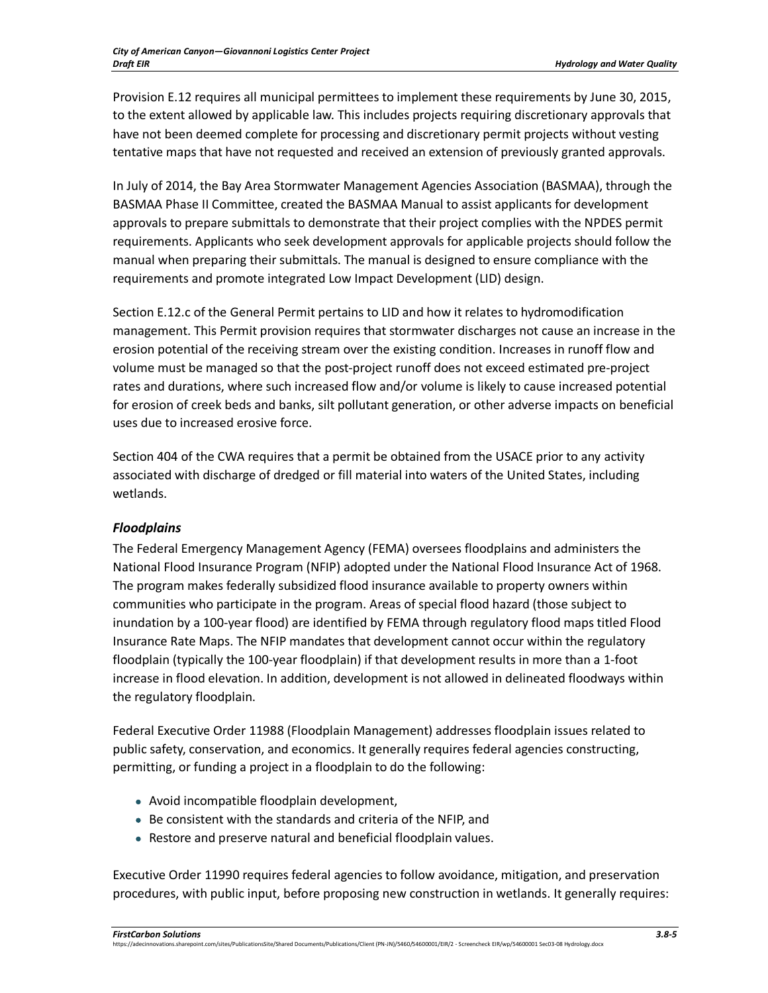Provision E.12 requires all municipal permittees to implement these requirements by June 30, 2015, to the extent allowed by applicable law. This includes projects requiring discretionary approvals that have not been deemed complete for processing and discretionary permit projects without vesting tentative maps that have not requested and received an extension of previously granted approvals.

In July of 2014, the Bay Area Stormwater Management Agencies Association (BASMAA), through the BASMAA Phase II Committee, created the BASMAA Manual to assist applicants for development approvals to prepare submittals to demonstrate that their project complies with the NPDES permit requirements. Applicants who seek development approvals for applicable projects should follow the manual when preparing their submittals. The manual is designed to ensure compliance with the requirements and promote integrated Low Impact Development (LID) design.

Section E.12.c of the General Permit pertains to LID and how it relates to hydromodification management. This Permit provision requires that stormwater discharges not cause an increase in the erosion potential of the receiving stream over the existing condition. Increases in runoff flow and volume must be managed so that the post-project runoff does not exceed estimated pre-project rates and durations, where such increased flow and/or volume is likely to cause increased potential for erosion of creek beds and banks, silt pollutant generation, or other adverse impacts on beneficial uses due to increased erosive force.

Section 404 of the CWA requires that a permit be obtained from the USACE prior to any activity associated with discharge of dredged or fill material into waters of the United States, including wetlands.

## *Floodplains*

The Federal Emergency Management Agency (FEMA) oversees floodplains and administers the National Flood Insurance Program (NFIP) adopted under the National Flood Insurance Act of 1968. The program makes federally subsidized flood insurance available to property owners within communities who participate in the program. Areas of special flood hazard (those subject to inundation by a 100-year flood) are identified by FEMA through regulatory flood maps titled Flood Insurance Rate Maps. The NFIP mandates that development cannot occur within the regulatory floodplain (typically the 100-year floodplain) if that development results in more than a 1-foot increase in flood elevation. In addition, development is not allowed in delineated floodways within the regulatory floodplain.

Federal Executive Order 11988 (Floodplain Management) addresses floodplain issues related to public safety, conservation, and economics. It generally requires federal agencies constructing, permitting, or funding a project in a floodplain to do the following:

- Avoid incompatible floodplain development,
- Be consistent with the standards and criteria of the NFIP, and
- Restore and preserve natural and beneficial floodplain values.

Executive Order 11990 requires federal agencies to follow avoidance, mitigation, and preservation procedures, with public input, before proposing new construction in wetlands. It generally requires: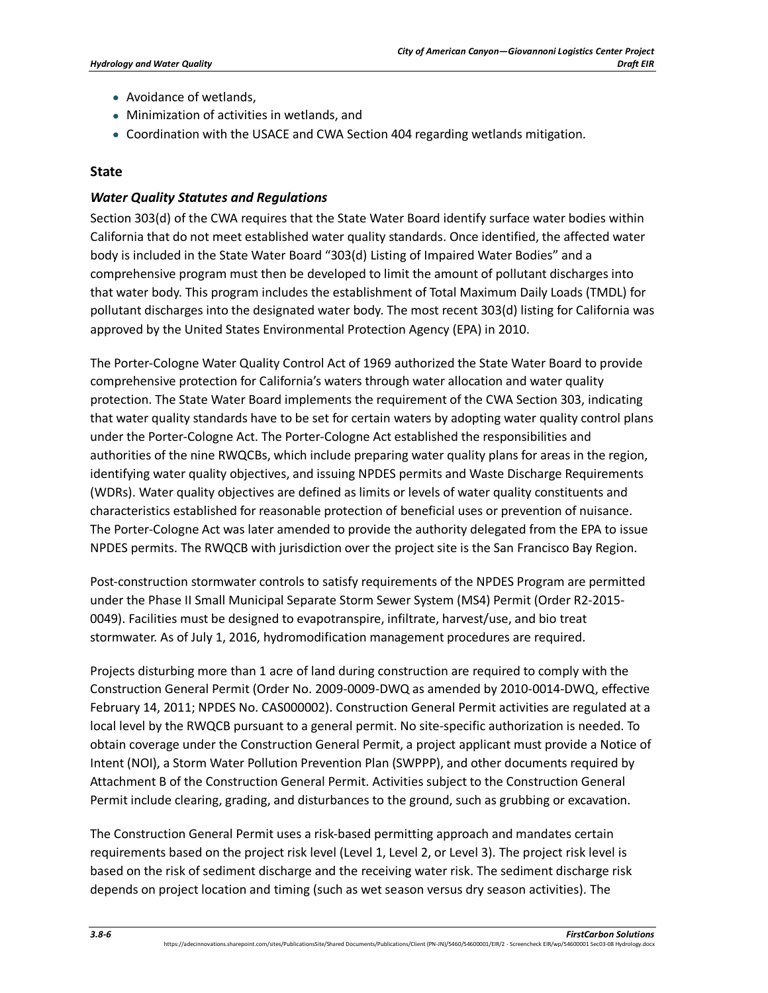- Avoidance of wetlands,
- Minimization of activities in wetlands, and
- Coordination with the USACE and CWA Section 404 regarding wetlands mitigation.

## **State**

## *Water Quality Statutes and Regulations*

Section 303(d) of the CWA requires that the State Water Board identify surface water bodies within California that do not meet established water quality standards. Once identified, the affected water body is included in the State Water Board "303(d) Listing of Impaired Water Bodies" and a comprehensive program must then be developed to limit the amount of pollutant discharges into that water body. This program includes the establishment of Total Maximum Daily Loads (TMDL) for pollutant discharges into the designated water body. The most recent 303(d) listing for California was approved by the United States Environmental Protection Agency (EPA) in 2010.

The Porter-Cologne Water Quality Control Act of 1969 authorized the State Water Board to provide comprehensive protection for California's waters through water allocation and water quality protection. The State Water Board implements the requirement of the CWA Section 303, indicating that water quality standards have to be set for certain waters by adopting water quality control plans under the Porter-Cologne Act. The Porter-Cologne Act established the responsibilities and authorities of the nine RWQCBs, which include preparing water quality plans for areas in the region, identifying water quality objectives, and issuing NPDES permits and Waste Discharge Requirements (WDRs). Water quality objectives are defined as limits or levels of water quality constituents and characteristics established for reasonable protection of beneficial uses or prevention of nuisance. The Porter-Cologne Act was later amended to provide the authority delegated from the EPA to issue NPDES permits. The RWQCB with jurisdiction over the project site is the San Francisco Bay Region.

Post-construction stormwater controls to satisfy requirements of the NPDES Program are permitted under the Phase II Small Municipal Separate Storm Sewer System (MS4) Permit (Order R2-2015- 0049). Facilities must be designed to evapotranspire, infiltrate, harvest/use, and bio treat stormwater. As of July 1, 2016, hydromodification management procedures are required.

Projects disturbing more than 1 acre of land during construction are required to comply with the Construction General Permit (Order No. 2009-0009-DWQ as amended by 2010-0014-DWQ, effective February 14, 2011; NPDES No. CAS000002). Construction General Permit activities are regulated at a local level by the RWQCB pursuant to a general permit. No site-specific authorization is needed. To obtain coverage under the Construction General Permit, a project applicant must provide a Notice of Intent (NOI), a Storm Water Pollution Prevention Plan (SWPPP), and other documents required by Attachment B of the Construction General Permit. Activities subject to the Construction General Permit include clearing, grading, and disturbances to the ground, such as grubbing or excavation.

The Construction General Permit uses a risk-based permitting approach and mandates certain requirements based on the project risk level (Level 1, Level 2, or Level 3). The project risk level is based on the risk of sediment discharge and the receiving water risk. The sediment discharge risk depends on project location and timing (such as wet season versus dry season activities). The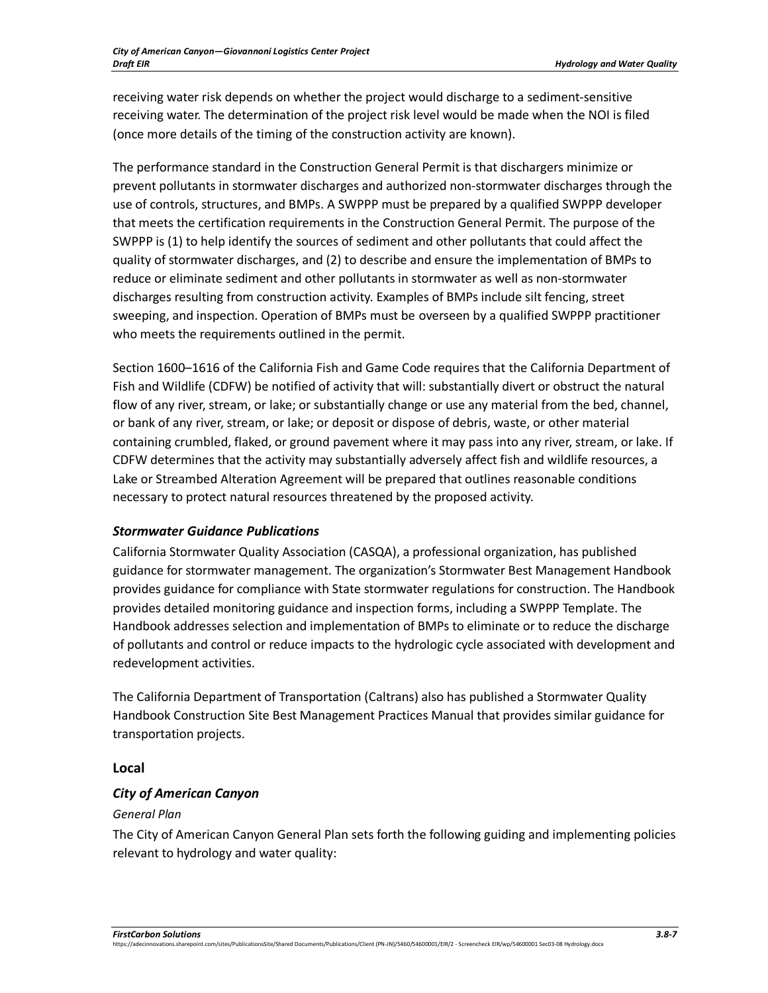receiving water risk depends on whether the project would discharge to a sediment-sensitive receiving water. The determination of the project risk level would be made when the NOI is filed (once more details of the timing of the construction activity are known).

The performance standard in the Construction General Permit is that dischargers minimize or prevent pollutants in stormwater discharges and authorized non-stormwater discharges through the use of controls, structures, and BMPs. A SWPPP must be prepared by a qualified SWPPP developer that meets the certification requirements in the Construction General Permit. The purpose of the SWPPP is (1) to help identify the sources of sediment and other pollutants that could affect the quality of stormwater discharges, and (2) to describe and ensure the implementation of BMPs to reduce or eliminate sediment and other pollutants in stormwater as well as non-stormwater discharges resulting from construction activity. Examples of BMPs include silt fencing, street sweeping, and inspection. Operation of BMPs must be overseen by a qualified SWPPP practitioner who meets the requirements outlined in the permit.

Section 1600–1616 of the California Fish and Game Code requires that the California Department of Fish and Wildlife (CDFW) be notified of activity that will: substantially divert or obstruct the natural flow of any river, stream, or lake; or substantially change or use any material from the bed, channel, or bank of any river, stream, or lake; or deposit or dispose of debris, waste, or other material containing crumbled, flaked, or ground pavement where it may pass into any river, stream, or lake. If CDFW determines that the activity may substantially adversely affect fish and wildlife resources, a Lake or Streambed Alteration Agreement will be prepared that outlines reasonable conditions necessary to protect natural resources threatened by the proposed activity.

## *Stormwater Guidance Publications*

California Stormwater Quality Association (CASQA), a professional organization, has published guidance for stormwater management. The organization's Stormwater Best Management Handbook provides guidance for compliance with State stormwater regulations for construction. The Handbook provides detailed monitoring guidance and inspection forms, including a SWPPP Template. The Handbook addresses selection and implementation of BMPs to eliminate or to reduce the discharge of pollutants and control or reduce impacts to the hydrologic cycle associated with development and redevelopment activities.

The California Department of Transportation (Caltrans) also has published a Stormwater Quality Handbook Construction Site Best Management Practices Manual that provides similar guidance for transportation projects.

## **Local**

# *City of American Canyon*

## *General Plan*

The City of American Canyon General Plan sets forth the following guiding and implementing policies relevant to hydrology and water quality:

https://adecinnovations.sharepoint.com/sites/PublicationsSite/Shared Documents/Publications/Client (PN-JN)/5460/54600001/EIR/2 - Screencheck EIR/wp/54600001 Sec03-08 Hydrology.docx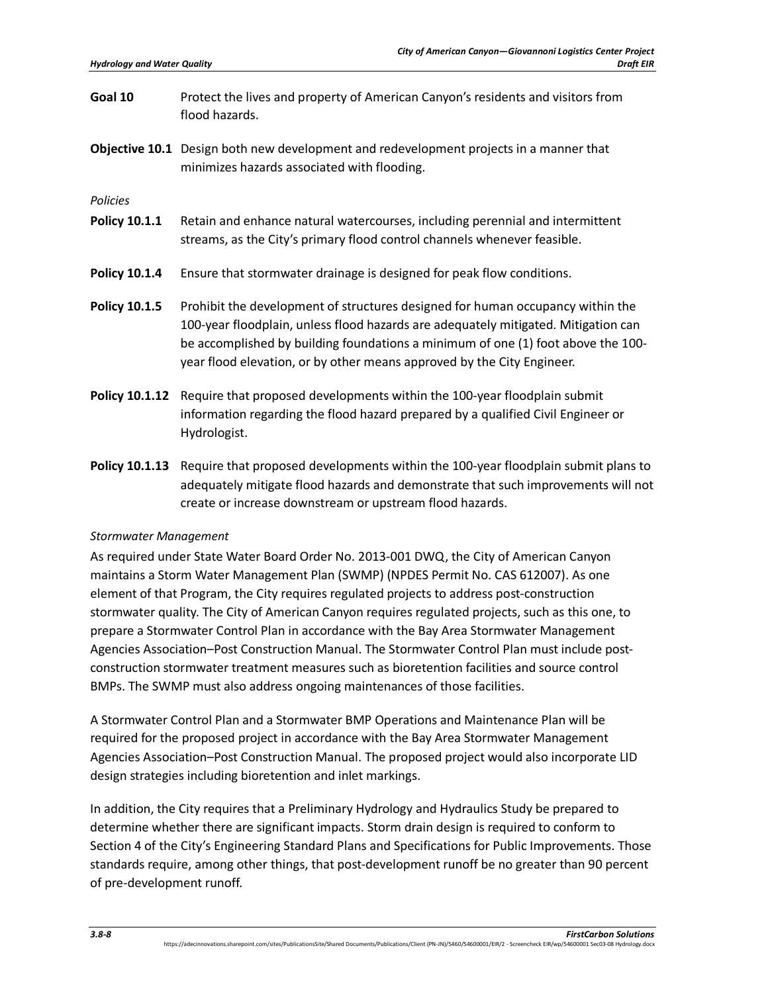- **Goal 10** Protect the lives and property of American Canyon's residents and visitors from flood hazards.
- **Objective 10.1** Design both new development and redevelopment projects in a manner that minimizes hazards associated with flooding.

*Policies*

- **Policy 10.1.1** Retain and enhance natural watercourses, including perennial and intermittent streams, as the City's primary flood control channels whenever feasible.
- **Policy 10.1.4** Ensure that stormwater drainage is designed for peak flow conditions.
- **Policy 10.1.5** Prohibit the development of structures designed for human occupancy within the 100-year floodplain, unless flood hazards are adequately mitigated. Mitigation can be accomplished by building foundations a minimum of one (1) foot above the 100 year flood elevation, or by other means approved by the City Engineer.
- **Policy 10.1.12** Require that proposed developments within the 100-year floodplain submit information regarding the flood hazard prepared by a qualified Civil Engineer or Hydrologist.
- **Policy 10.1.13** Require that proposed developments within the 100-year floodplain submit plans to adequately mitigate flood hazards and demonstrate that such improvements will not create or increase downstream or upstream flood hazards.

#### *Stormwater Management*

As required under State Water Board Order No. 2013-001 DWQ, the City of American Canyon maintains a Storm Water Management Plan (SWMP) (NPDES Permit No. CAS 612007). As one element of that Program, the City requires regulated projects to address post-construction stormwater quality. The City of American Canyon requires regulated projects, such as this one, to prepare a Stormwater Control Plan in accordance with the Bay Area Stormwater Management Agencies Association–Post Construction Manual. The Stormwater Control Plan must include postconstruction stormwater treatment measures such as bioretention facilities and source control BMPs. The SWMP must also address ongoing maintenances of those facilities.

A Stormwater Control Plan and a Stormwater BMP Operations and Maintenance Plan will be required for the proposed project in accordance with the Bay Area Stormwater Management Agencies Association–Post Construction Manual. The proposed project would also incorporate LID design strategies including bioretention and inlet markings.

In addition, the City requires that a Preliminary Hydrology and Hydraulics Study be prepared to determine whether there are significant impacts. Storm drain design is required to conform to Section 4 of the City's Engineering Standard Plans and Specifications for Public Improvements. Those standards require, among other things, that post-development runoff be no greater than 90 percent of pre-development runoff.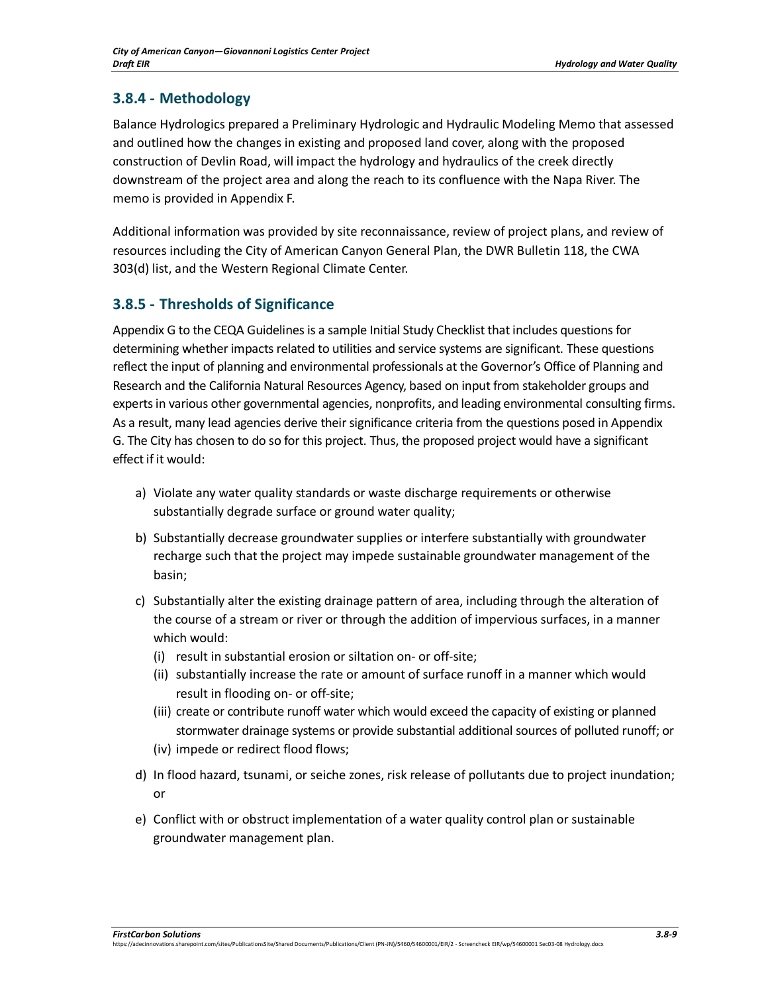# **3.8.4 - Methodology**

Balance Hydrologics prepared a Preliminary Hydrologic and Hydraulic Modeling Memo that assessed and outlined how the changes in existing and proposed land cover, along with the proposed construction of Devlin Road, will impact the hydrology and hydraulics of the creek directly downstream of the project area and along the reach to its confluence with the Napa River. The memo is provided in Appendix F.

Additional information was provided by site reconnaissance, review of project plans, and review of resources including the City of American Canyon General Plan, the DWR Bulletin 118, the CWA 303(d) list, and the Western Regional Climate Center.

# **3.8.5 - Thresholds of Significance**

Appendix G to the CEQA Guidelines is a sample Initial Study Checklist that includes questions for determining whether impacts related to utilities and service systems are significant. These questions reflect the input of planning and environmental professionals at the Governor's Office of Planning and Research and the California Natural Resources Agency, based on input from stakeholder groups and experts in various other governmental agencies, nonprofits, and leading environmental consulting firms. As a result, many lead agencies derive their significance criteria from the questions posed in Appendix G. The City has chosen to do so for this project. Thus, the proposed project would have a significant effect if it would:

- a) Violate any water quality standards or waste discharge requirements or otherwise substantially degrade surface or ground water quality;
- b) Substantially decrease groundwater supplies or interfere substantially with groundwater recharge such that the project may impede sustainable groundwater management of the basin;
- c) Substantially alter the existing drainage pattern of area, including through the alteration of the course of a stream or river or through the addition of impervious surfaces, in a manner which would:
	- (i) result in substantial erosion or siltation on- or off-site;
	- (ii) substantially increase the rate or amount of surface runoff in a manner which would result in flooding on- or off-site;
	- (iii) create or contribute runoff water which would exceed the capacity of existing or planned stormwater drainage systems or provide substantial additional sources of polluted runoff; or
	- (iv) impede or redirect flood flows;
- d) In flood hazard, tsunami, or seiche zones, risk release of pollutants due to project inundation; or
- e) Conflict with or obstruct implementation of a water quality control plan or sustainable groundwater management plan.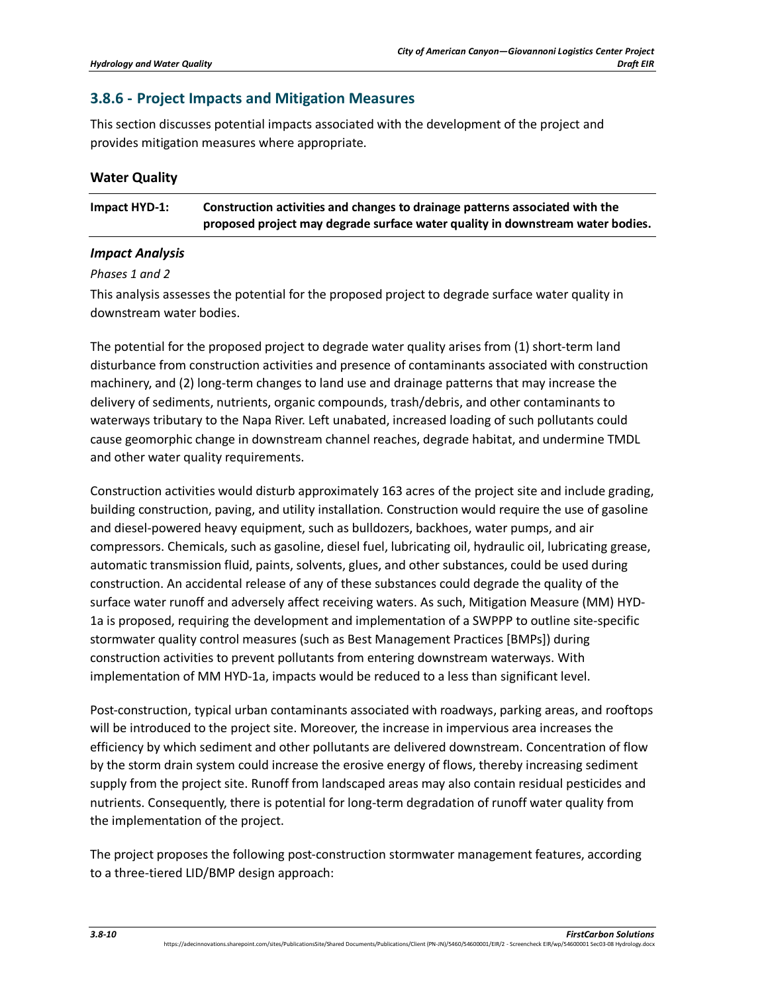## **3.8.6 - Project Impacts and Mitigation Measures**

This section discusses potential impacts associated with the development of the project and provides mitigation measures where appropriate.

| <b>Water Quality</b> |  |  |
|----------------------|--|--|
|----------------------|--|--|

| Impact HYD-1: | Construction activities and changes to drainage patterns associated with the   |
|---------------|--------------------------------------------------------------------------------|
|               | proposed project may degrade surface water quality in downstream water bodies. |

#### *Impact Analysis*

#### *Phases 1 and 2*

This analysis assesses the potential for the proposed project to degrade surface water quality in downstream water bodies.

The potential for the proposed project to degrade water quality arises from (1) short-term land disturbance from construction activities and presence of contaminants associated with construction machinery, and (2) long-term changes to land use and drainage patterns that may increase the delivery of sediments, nutrients, organic compounds, trash/debris, and other contaminants to waterways tributary to the Napa River. Left unabated, increased loading of such pollutants could cause geomorphic change in downstream channel reaches, degrade habitat, and undermine TMDL and other water quality requirements.

Construction activities would disturb approximately 163 acres of the project site and include grading, building construction, paving, and utility installation. Construction would require the use of gasoline and diesel-powered heavy equipment, such as bulldozers, backhoes, water pumps, and air compressors. Chemicals, such as gasoline, diesel fuel, lubricating oil, hydraulic oil, lubricating grease, automatic transmission fluid, paints, solvents, glues, and other substances, could be used during construction. An accidental release of any of these substances could degrade the quality of the surface water runoff and adversely affect receiving waters. As such, Mitigation Measure (MM) HYD-1a is proposed, requiring the development and implementation of a SWPPP to outline site-specific stormwater quality control measures (such as Best Management Practices [BMPs]) during construction activities to prevent pollutants from entering downstream waterways. With implementation of MM HYD-1a, impacts would be reduced to a less than significant level.

Post-construction, typical urban contaminants associated with roadways, parking areas, and rooftops will be introduced to the project site. Moreover, the increase in impervious area increases the efficiency by which sediment and other pollutants are delivered downstream. Concentration of flow by the storm drain system could increase the erosive energy of flows, thereby increasing sediment supply from the project site. Runoff from landscaped areas may also contain residual pesticides and nutrients. Consequently, there is potential for long-term degradation of runoff water quality from the implementation of the project.

The project proposes the following post-construction stormwater management features, according to a three-tiered LID/BMP design approach: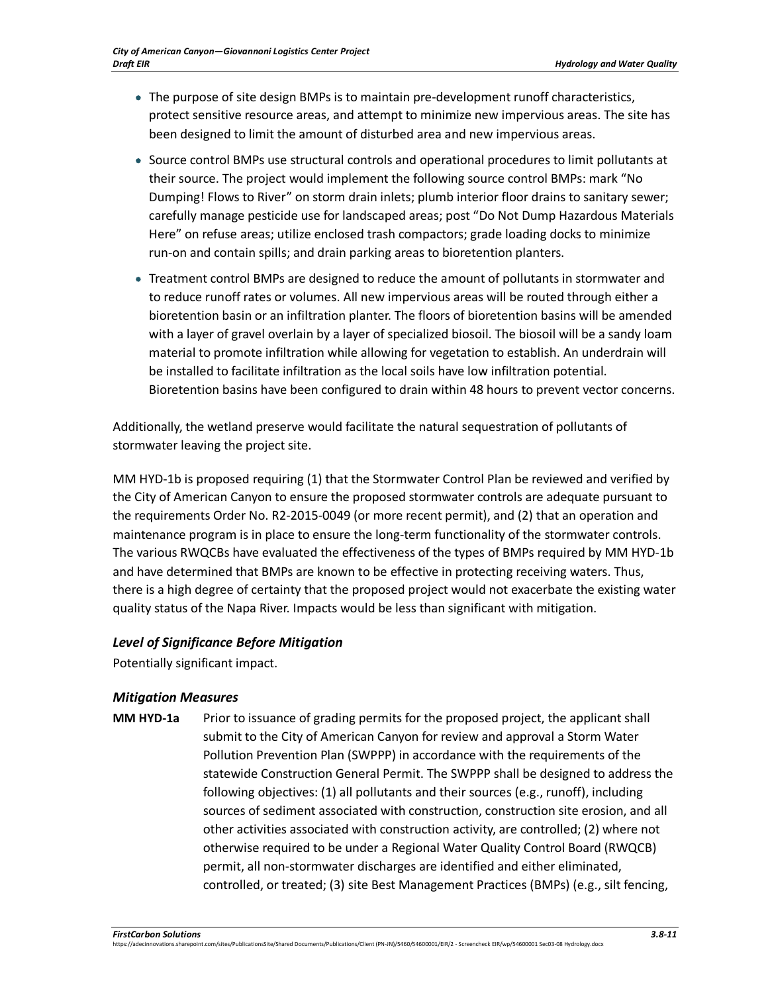- The purpose of site design BMPs is to maintain pre-development runoff characteristics, protect sensitive resource areas, and attempt to minimize new impervious areas. The site has been designed to limit the amount of disturbed area and new impervious areas.
- Source control BMPs use structural controls and operational procedures to limit pollutants at their source. The project would implement the following source control BMPs: mark "No Dumping! Flows to River" on storm drain inlets; plumb interior floor drains to sanitary sewer; carefully manage pesticide use for landscaped areas; post "Do Not Dump Hazardous Materials Here" on refuse areas; utilize enclosed trash compactors; grade loading docks to minimize run-on and contain spills; and drain parking areas to bioretention planters.
- Treatment control BMPs are designed to reduce the amount of pollutants in stormwater and to reduce runoff rates or volumes. All new impervious areas will be routed through either a bioretention basin or an infiltration planter. The floors of bioretention basins will be amended with a layer of gravel overlain by a layer of specialized biosoil. The biosoil will be a sandy loam material to promote infiltration while allowing for vegetation to establish. An underdrain will be installed to facilitate infiltration as the local soils have low infiltration potential. Bioretention basins have been configured to drain within 48 hours to prevent vector concerns.

Additionally, the wetland preserve would facilitate the natural sequestration of pollutants of stormwater leaving the project site.

MM HYD-1b is proposed requiring (1) that the Stormwater Control Plan be reviewed and verified by the City of American Canyon to ensure the proposed stormwater controls are adequate pursuant to the requirements Order No. R2-2015-0049 (or more recent permit), and (2) that an operation and maintenance program is in place to ensure the long-term functionality of the stormwater controls. The various RWQCBs have evaluated the effectiveness of the types of BMPs required by MM HYD-1b and have determined that BMPs are known to be effective in protecting receiving waters. Thus, there is a high degree of certainty that the proposed project would not exacerbate the existing water quality status of the Napa River. Impacts would be less than significant with mitigation.

### *Level of Significance Before Mitigation*

Potentially significant impact.

## *Mitigation Measures*

**MM HYD-1a** Prior to issuance of grading permits for the proposed project, the applicant shall submit to the City of American Canyon for review and approval a Storm Water Pollution Prevention Plan (SWPPP) in accordance with the requirements of the statewide Construction General Permit. The SWPPP shall be designed to address the following objectives: (1) all pollutants and their sources (e.g., runoff), including sources of sediment associated with construction, construction site erosion, and all other activities associated with construction activity, are controlled; (2) where not otherwise required to be under a Regional Water Quality Control Board (RWQCB) permit, all non-stormwater discharges are identified and either eliminated, controlled, or treated; (3) site Best Management Practices (BMPs) (e.g., silt fencing,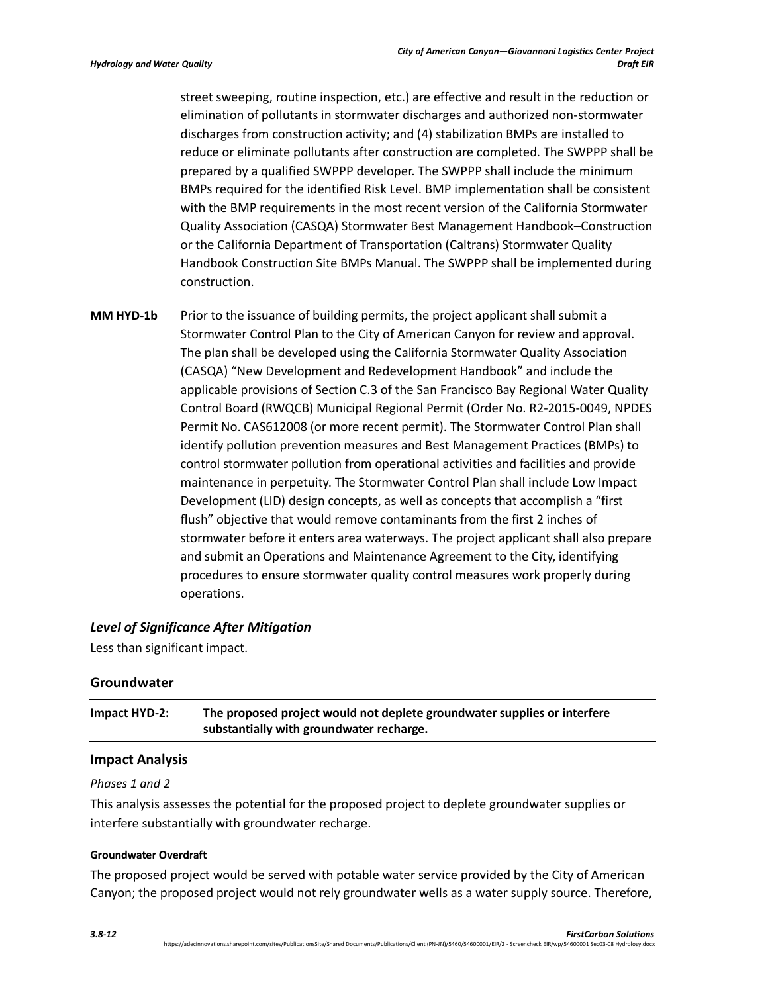street sweeping, routine inspection, etc.) are effective and result in the reduction or elimination of pollutants in stormwater discharges and authorized non-stormwater discharges from construction activity; and (4) stabilization BMPs are installed to reduce or eliminate pollutants after construction are completed. The SWPPP shall be prepared by a qualified SWPPP developer. The SWPPP shall include the minimum BMPs required for the identified Risk Level. BMP implementation shall be consistent with the BMP requirements in the most recent version of the California Stormwater Quality Association (CASQA) Stormwater Best Management Handbook–Construction or the California Department of Transportation (Caltrans) Stormwater Quality Handbook Construction Site BMPs Manual. The SWPPP shall be implemented during construction.

**MM HYD-1b** Prior to the issuance of building permits, the project applicant shall submit a Stormwater Control Plan to the City of American Canyon for review and approval. The plan shall be developed using the California Stormwater Quality Association (CASQA) "New Development and Redevelopment Handbook" and include the applicable provisions of Section C.3 of the San Francisco Bay Regional Water Quality Control Board (RWQCB) Municipal Regional Permit (Order No. R2-2015-0049, NPDES Permit No. CAS612008 (or more recent permit). The Stormwater Control Plan shall identify pollution prevention measures and Best Management Practices (BMPs) to control stormwater pollution from operational activities and facilities and provide maintenance in perpetuity. The Stormwater Control Plan shall include Low Impact Development (LID) design concepts, as well as concepts that accomplish a "first flush" objective that would remove contaminants from the first 2 inches of stormwater before it enters area waterways. The project applicant shall also prepare and submit an Operations and Maintenance Agreement to the City, identifying procedures to ensure stormwater quality control measures work properly during operations.

### *Level of Significance After Mitigation*

Less than significant impact.

### **Groundwater**

**Impact HYD-2: The proposed project would not deplete groundwater supplies or interfere substantially with groundwater recharge.** 

### **Impact Analysis**

#### *Phases 1 and 2*

This analysis assesses the potential for the proposed project to deplete groundwater supplies or interfere substantially with groundwater recharge.

#### **Groundwater Overdraft**

The proposed project would be served with potable water service provided by the City of American Canyon; the proposed project would not rely groundwater wells as a water supply source. Therefore,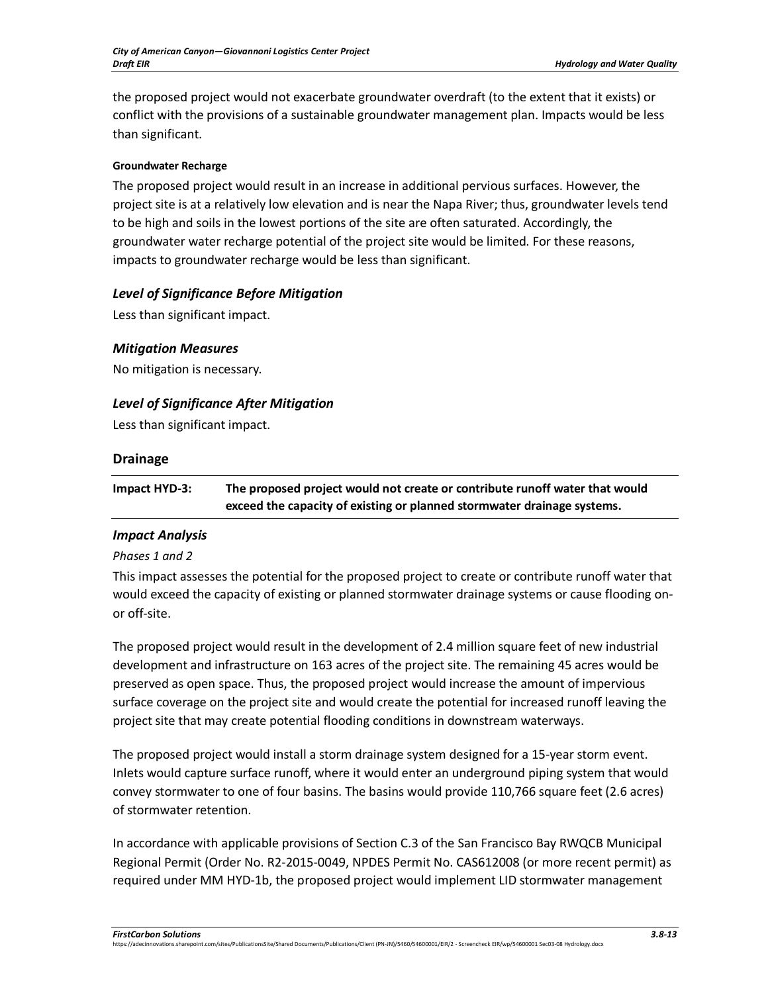the proposed project would not exacerbate groundwater overdraft (to the extent that it exists) or conflict with the provisions of a sustainable groundwater management plan. Impacts would be less than significant.

#### **Groundwater Recharge**

The proposed project would result in an increase in additional pervious surfaces. However, the project site is at a relatively low elevation and is near the Napa River; thus, groundwater levels tend to be high and soils in the lowest portions of the site are often saturated. Accordingly, the groundwater water recharge potential of the project site would be limited. For these reasons, impacts to groundwater recharge would be less than significant.

## *Level of Significance Before Mitigation*

Less than significant impact.

### *Mitigation Measures*

No mitigation is necessary.

## *Level of Significance After Mitigation*

Less than significant impact.

### **Drainage**

**Impact HYD-3: The proposed project would not create or contribute runoff water that would exceed the capacity of existing or planned stormwater drainage systems.** 

### *Impact Analysis*

### *Phases 1 and 2*

This impact assesses the potential for the proposed project to create or contribute runoff water that would exceed the capacity of existing or planned stormwater drainage systems or cause flooding onor off-site.

The proposed project would result in the development of 2.4 million square feet of new industrial development and infrastructure on 163 acres of the project site. The remaining 45 acres would be preserved as open space. Thus, the proposed project would increase the amount of impervious surface coverage on the project site and would create the potential for increased runoff leaving the project site that may create potential flooding conditions in downstream waterways.

The proposed project would install a storm drainage system designed for a 15-year storm event. Inlets would capture surface runoff, where it would enter an underground piping system that would convey stormwater to one of four basins. The basins would provide 110,766 square feet (2.6 acres) of stormwater retention.

In accordance with applicable provisions of Section C.3 of the San Francisco Bay RWQCB Municipal Regional Permit (Order No. R2-2015-0049, NPDES Permit No. CAS612008 (or more recent permit) as required under MM HYD-1b, the proposed project would implement LID stormwater management